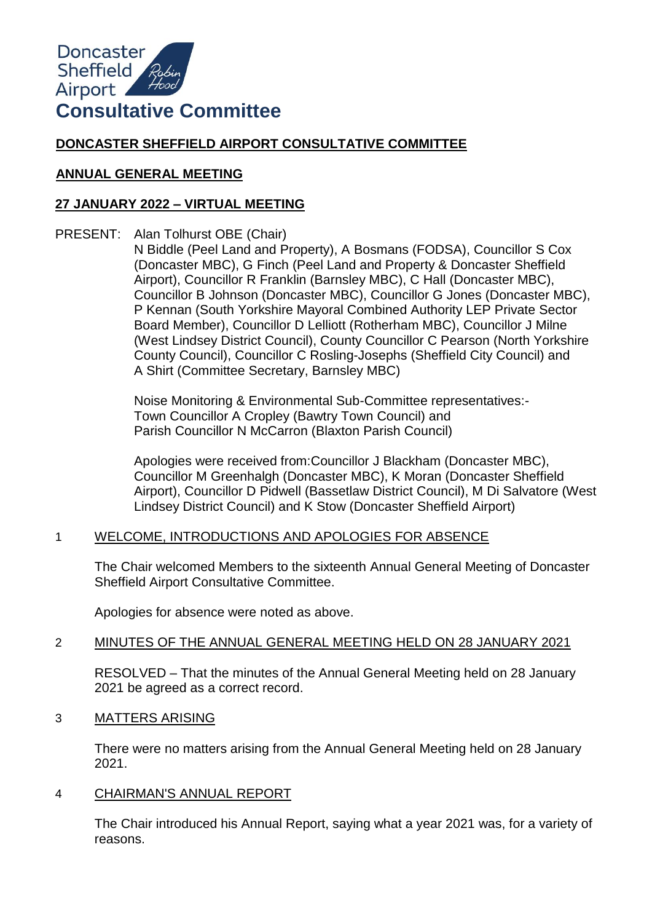

# **DONCASTER SHEFFIELD AIRPORT CONSULTATIVE COMMITTEE**

## **ANNUAL GENERAL MEETING**

# **27 JANUARY 2022 – VIRTUAL MEETING**

PRESENT: Alan Tolhurst OBE (Chair)

N Biddle (Peel Land and Property), A Bosmans (FODSA), Councillor S Cox (Doncaster MBC), G Finch (Peel Land and Property & Doncaster Sheffield Airport), Councillor R Franklin (Barnsley MBC), C Hall (Doncaster MBC), Councillor B Johnson (Doncaster MBC), Councillor G Jones (Doncaster MBC), P Kennan (South Yorkshire Mayoral Combined Authority LEP Private Sector Board Member), Councillor D Lelliott (Rotherham MBC), Councillor J Milne (West Lindsey District Council), County Councillor C Pearson (North Yorkshire County Council), Councillor C Rosling-Josephs (Sheffield City Council) and A Shirt (Committee Secretary, Barnsley MBC)

Noise Monitoring & Environmental Sub-Committee representatives:- Town Councillor A Cropley (Bawtry Town Council) and Parish Councillor N McCarron (Blaxton Parish Council)

Apologies were received from:Councillor J Blackham (Doncaster MBC), Councillor M Greenhalgh (Doncaster MBC), K Moran (Doncaster Sheffield Airport), Councillor D Pidwell (Bassetlaw District Council), M Di Salvatore (West Lindsey District Council) and K Stow (Doncaster Sheffield Airport)

# 1 WELCOME, INTRODUCTIONS AND APOLOGIES FOR ABSENCE

The Chair welcomed Members to the sixteenth Annual General Meeting of Doncaster Sheffield Airport Consultative Committee.

Apologies for absence were noted as above.

## 2 MINUTES OF THE ANNUAL GENERAL MEETING HELD ON 28 JANUARY 2021

RESOLVED – That the minutes of the Annual General Meeting held on 28 January 2021 be agreed as a correct record.

#### 3 MATTERS ARISING

There were no matters arising from the Annual General Meeting held on 28 January 2021.

#### 4 CHAIRMAN'S ANNUAL REPORT

The Chair introduced his Annual Report, saying what a year 2021 was, for a variety of reasons.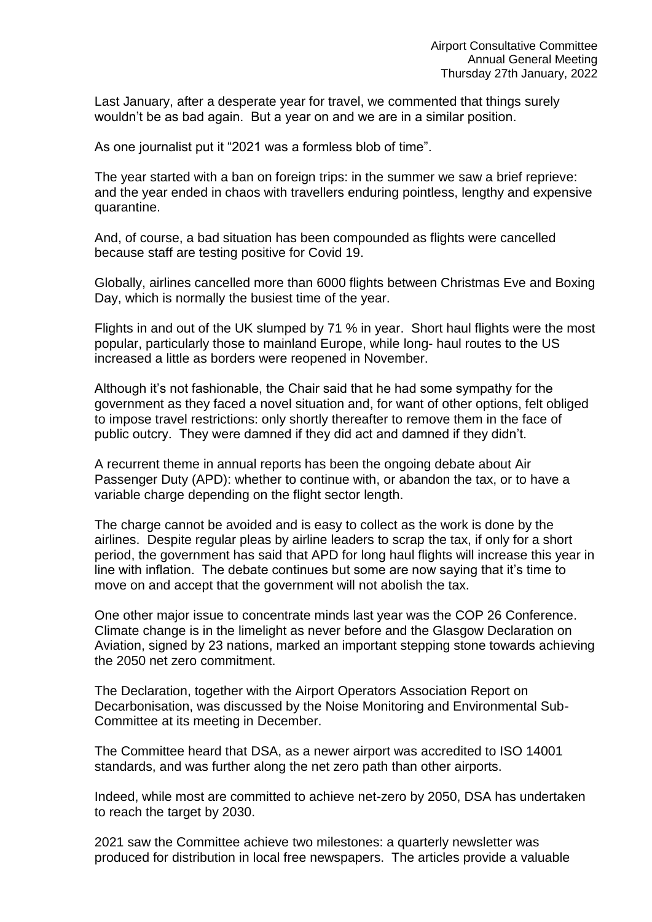Last January, after a desperate year for travel, we commented that things surely wouldn't be as bad again. But a year on and we are in a similar position.

As one journalist put it "2021 was a formless blob of time".

The year started with a ban on foreign trips: in the summer we saw a brief reprieve: and the year ended in chaos with travellers enduring pointless, lengthy and expensive quarantine.

And, of course, a bad situation has been compounded as flights were cancelled because staff are testing positive for Covid 19.

Globally, airlines cancelled more than 6000 flights between Christmas Eve and Boxing Day, which is normally the busiest time of the year.

Flights in and out of the UK slumped by 71 % in year. Short haul flights were the most popular, particularly those to mainland Europe, while long- haul routes to the US increased a little as borders were reopened in November.

Although it's not fashionable, the Chair said that he had some sympathy for the government as they faced a novel situation and, for want of other options, felt obliged to impose travel restrictions: only shortly thereafter to remove them in the face of public outcry. They were damned if they did act and damned if they didn't.

A recurrent theme in annual reports has been the ongoing debate about Air Passenger Duty (APD): whether to continue with, or abandon the tax, or to have a variable charge depending on the flight sector length.

The charge cannot be avoided and is easy to collect as the work is done by the airlines. Despite regular pleas by airline leaders to scrap the tax, if only for a short period, the government has said that APD for long haul flights will increase this year in line with inflation. The debate continues but some are now saying that it's time to move on and accept that the government will not abolish the tax.

One other major issue to concentrate minds last year was the COP 26 Conference. Climate change is in the limelight as never before and the Glasgow Declaration on Aviation, signed by 23 nations, marked an important stepping stone towards achieving the 2050 net zero commitment.

The Declaration, together with the Airport Operators Association Report on Decarbonisation, was discussed by the Noise Monitoring and Environmental Sub-Committee at its meeting in December.

The Committee heard that DSA, as a newer airport was accredited to ISO 14001 standards, and was further along the net zero path than other airports.

Indeed, while most are committed to achieve net-zero by 2050, DSA has undertaken to reach the target by 2030.

2021 saw the Committee achieve two milestones: a quarterly newsletter was produced for distribution in local free newspapers. The articles provide a valuable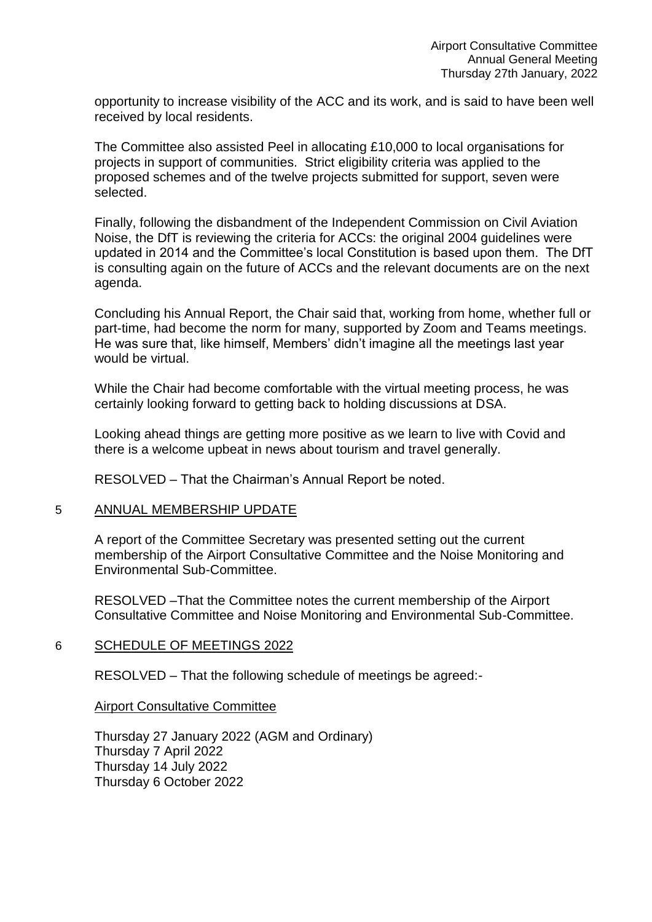opportunity to increase visibility of the ACC and its work, and is said to have been well received by local residents.

The Committee also assisted Peel in allocating £10,000 to local organisations for projects in support of communities. Strict eligibility criteria was applied to the proposed schemes and of the twelve projects submitted for support, seven were selected.

Finally, following the disbandment of the Independent Commission on Civil Aviation Noise, the DfT is reviewing the criteria for ACCs: the original 2004 guidelines were updated in 2014 and the Committee's local Constitution is based upon them. The DfT is consulting again on the future of ACCs and the relevant documents are on the next agenda.

Concluding his Annual Report, the Chair said that, working from home, whether full or part-time, had become the norm for many, supported by Zoom and Teams meetings. He was sure that, like himself, Members' didn't imagine all the meetings last year would be virtual.

While the Chair had become comfortable with the virtual meeting process, he was certainly looking forward to getting back to holding discussions at DSA.

Looking ahead things are getting more positive as we learn to live with Covid and there is a welcome upbeat in news about tourism and travel generally.

RESOLVED – That the Chairman's Annual Report be noted.

#### 5 ANNUAL MEMBERSHIP UPDATE

A report of the Committee Secretary was presented setting out the current membership of the Airport Consultative Committee and the Noise Monitoring and Environmental Sub-Committee.

RESOLVED –That the Committee notes the current membership of the Airport Consultative Committee and Noise Monitoring and Environmental Sub-Committee.

## 6 SCHEDULE OF MEETINGS 2022

RESOLVED – That the following schedule of meetings be agreed:-

#### Airport Consultative Committee

Thursday 27 January 2022 (AGM and Ordinary) Thursday 7 April 2022 Thursday 14 July 2022 Thursday 6 October 2022